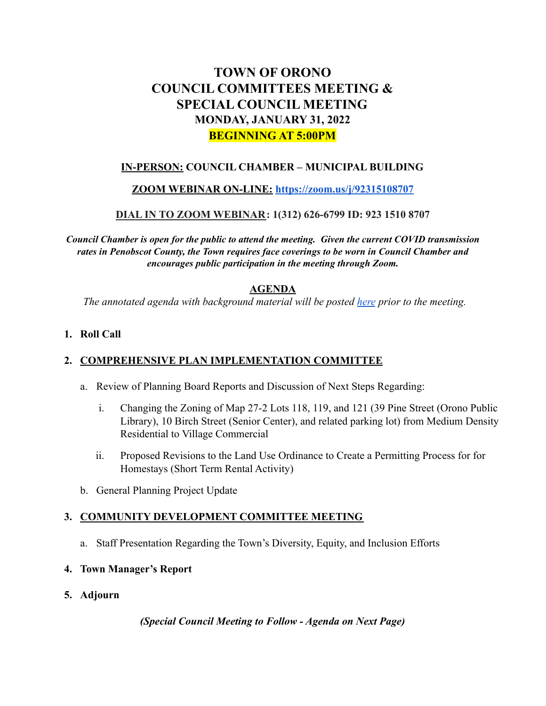# **TOWN OF ORONO COUNCIL COMMITTEES MEETING & SPECIAL COUNCIL MEETING MONDAY, JANUARY 31, 2022 BEGINNING AT 5:00PM**

# **IN-PERSON: COUNCIL CHAMBER – MUNICIPAL BUILDING**

### **ZOOM WEBINAR ON-LINE: <https://zoom.us/j/92315108707>**

### **DIAL IN TO ZOOM WEBINAR: 1(312) 626-6799 ID: 923 1510 8707**

*Council Chamber is open for the public to attend the meeting. Given the current COVID transmission rates in Penobscot County, the Town requires face coverings to be worn in Council Chamber and encourages public participation in the meeting through Zoom.*

### **AGENDA**

*The annotated agenda with background material will be posted [here](https://drive.google.com/drive/u/0/folders/1swHdg02_5hrB8pMks0T1yIZ__Z9nq6rF) prior to the meeting.*

#### **1. Roll Call**

# **2. COMPREHENSIVE PLAN IMPLEMENTATION COMMITTEE**

- a. Review of Planning Board Reports and Discussion of Next Steps Regarding:
	- i. Changing the Zoning of Map 27-2 Lots 118, 119, and 121 (39 Pine Street (Orono Public Library), 10 Birch Street (Senior Center), and related parking lot) from Medium Density Residential to Village Commercial
	- ii. Proposed Revisions to the Land Use Ordinance to Create a Permitting Process for for Homestays (Short Term Rental Activity)
- b. General Planning Project Update

# **3. COMMUNITY DEVELOPMENT COMMITTEE MEETING**

a. Staff Presentation Regarding the Town's Diversity, Equity, and Inclusion Efforts

#### **4. Town Manager's Report**

**5. Adjourn**

*(Special Council Meeting to Follow - Agenda on Next Page)*